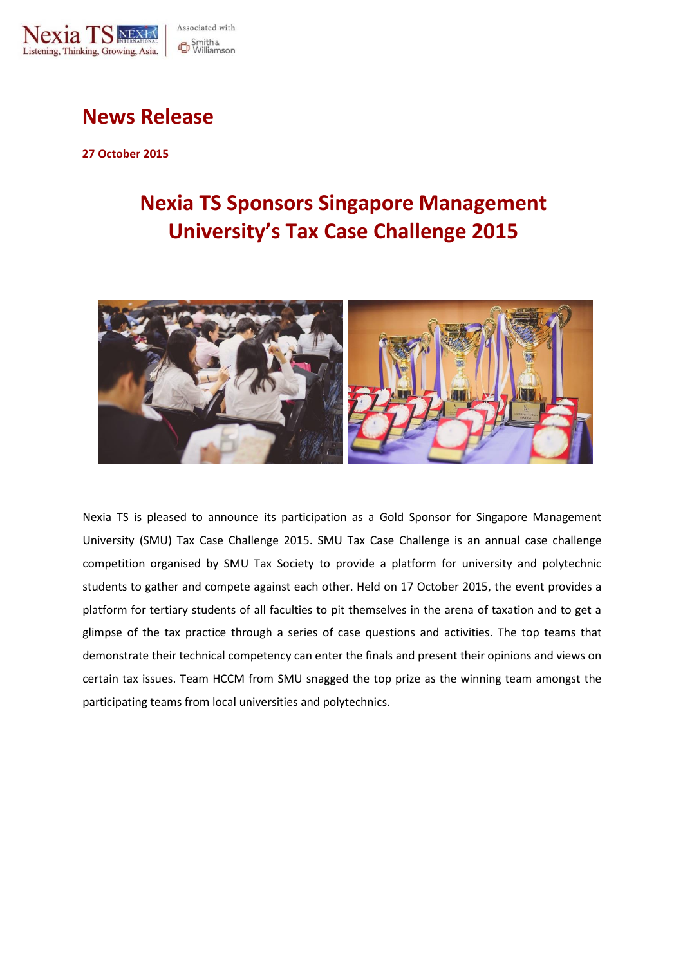

## **News Release**

**27 October 2015**

# **Nexia TS Sponsors Singapore Management University's Tax Case Challenge 2015**



Nexia TS is pleased to announce its participation as a Gold Sponsor for Singapore Management University (SMU) Tax Case Challenge 2015. SMU Tax Case Challenge is an annual case challenge competition organised by SMU Tax Society to provide a platform for university and polytechnic students to gather and compete against each other. Held on 17 October 2015, the event provides a platform for tertiary students of all faculties to pit themselves in the arena of taxation and to get a glimpse of the tax practice through a series of case questions and activities. The top teams that demonstrate their technical competency can enter the finals and present their opinions and views on certain tax issues. Team HCCM from SMU snagged the top prize as the winning team amongst the participating teams from local universities and polytechnics.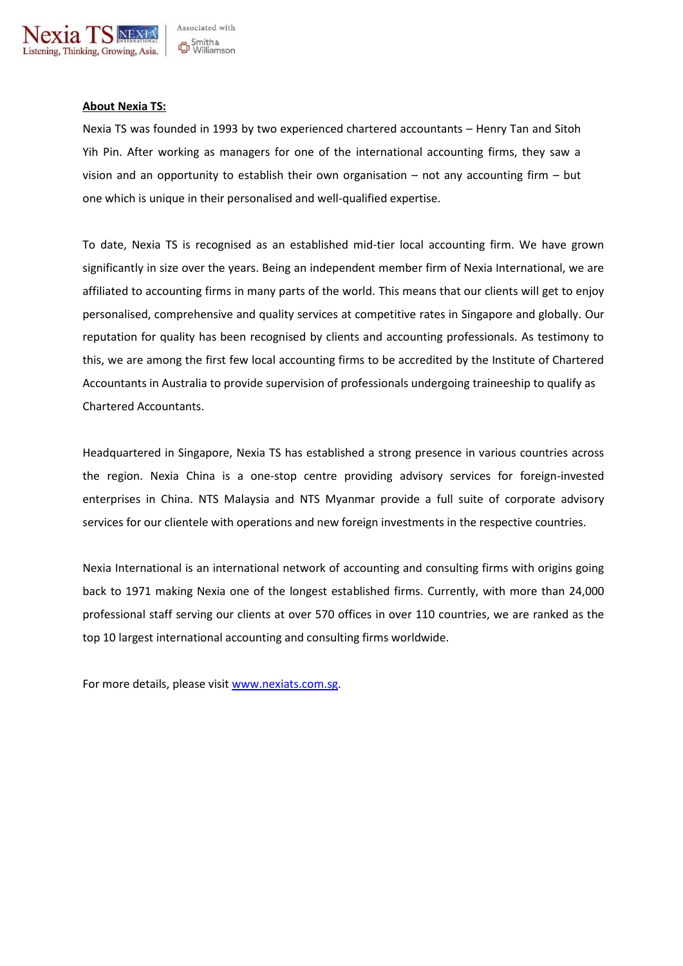

#### **About Nexia TS:**

Nexia TS was founded in 1993 by two experienced chartered accountants – Henry Tan and Sitoh Yih Pin. After working as managers for one of the international accounting firms, they saw a vision and an opportunity to establish their own organisation – not any accounting firm – but one which is unique in their personalised and well-qualified expertise.

To date, Nexia TS is recognised as an established mid-tier local accounting firm. We have grown significantly in size over the years. Being an independent member firm of Nexia International, we are affiliated to accounting firms in many parts of the world. This means that our clients will get to enjoy personalised, comprehensive and quality services at competitive rates in Singapore and globally. Our reputation for quality has been recognised by clients and accounting professionals. As testimony to this, we are among the first few local accounting firms to be accredited by the Institute of Chartered Accountants in Australia to provide supervision of professionals undergoing traineeship to qualify as Chartered Accountants.

Headquartered in Singapore, Nexia TS has established a strong presence in various countries across the region. Nexia China is a one-stop centre providing advisory services for foreign-invested enterprises in China. NTS Malaysia and NTS Myanmar provide a full suite of corporate advisory services for our clientele with operations and new foreign investments in the respective countries.

Nexia International is an international network of accounting and consulting firms with origins going back to 1971 making Nexia one of the longest established firms. Currently, with more than 24,000 professional staff serving our clients at over 570 offices in over 110 countries, we are ranked as the top 10 largest international accounting and consulting firms worldwide.

For more details, please visit [www.nexiats.com.sg.](http://www.nexiats.com.sg/)